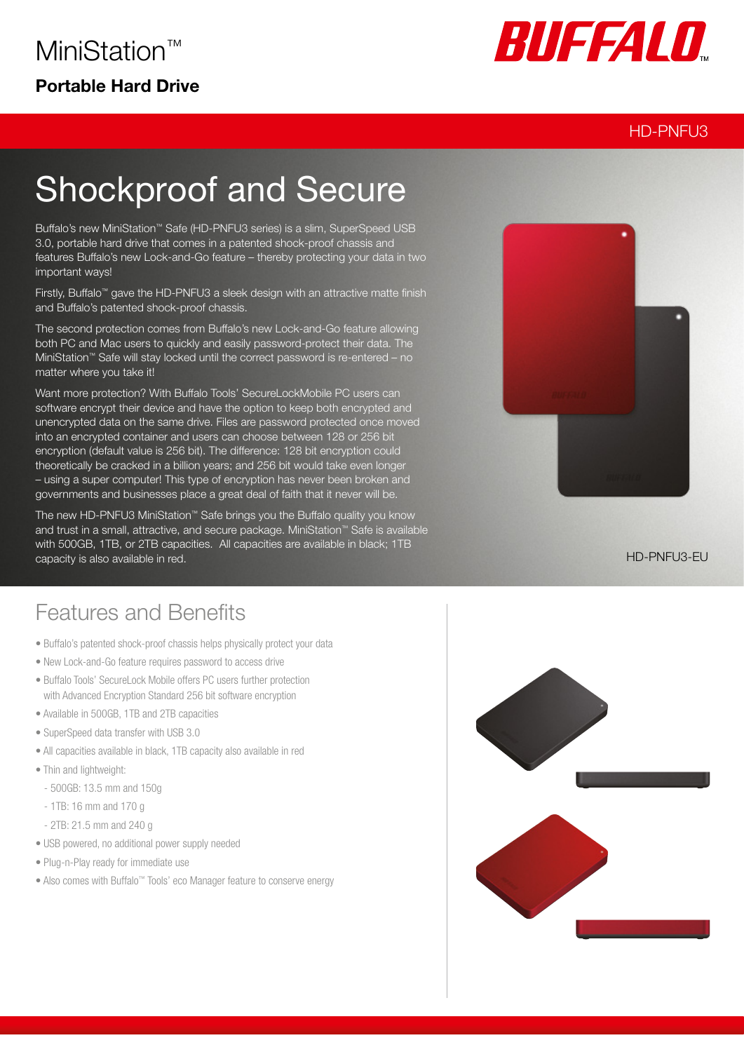

#### HD-PNFU3

# Shockproof and Secure

Buffalo's new MiniStation™ Safe (HD-PNFU3 series) is a slim, SuperSpeed USB 3.0, portable hard drive that comes in a patented shock-proof chassis and features Buffalo's new Lock-and-Go feature – thereby protecting your data in two important ways!

Firstly, Buffalo™ gave the HD-PNFU3 a sleek design with an attractive matte finish and Buffalo's patented shock-proof chassis.

The second protection comes from Buffalo's new Lock-and-Go feature allowing both PC and Mac users to quickly and easily password-protect their data. The MiniStation™ Safe will stay locked until the correct password is re-entered – no matter where you take it!

Want more protection? With Buffalo Tools' SecureLockMobile PC users can software encrypt their device and have the option to keep both encrypted and unencrypted data on the same drive. Files are password protected once moved into an encrypted container and users can choose between 128 or 256 bit encryption (default value is 256 bit). The difference: 128 bit encryption could theoretically be cracked in a billion years; and 256 bit would take even longer – using a super computer! This type of encryption has never been broken and governments and businesses place a great deal of faith that it never will be.

The new HD-PNFU3 MiniStation™ Safe brings you the Buffalo quality you know and trust in a small, attractive, and secure package. MiniStation™ Safe is available with 500GB, 1TB, or 2TB capacities. All capacities are available in black: 1TB capacity is also available in red.

## Features and Benefits

- Buffalo's patented shock-proof chassis helps physically protect your data
- New Lock-and-Go feature requires password to access drive
- Buffalo Tools' SecureLock Mobile offers PC users further protection with Advanced Encryption Standard 256 bit software encryption
- Available in 500GB, 1TB and 2TB capacities
- SuperSpeed data transfer with USB 3.0
- All capacities available in black, 1TB capacity also available in red
- Thin and lightweight:
	- 500GB: 13.5 mm and 150g
- 1TB: 16 mm and 170 g
- 2TB: 21.5 mm and 240 g
- USB powered, no additional power supply needed
- Plug-n-Play ready for immediate use
- Also comes with Buffalo™ Tools' eco Manager feature to conserve energy



HD-PNFU3-EU